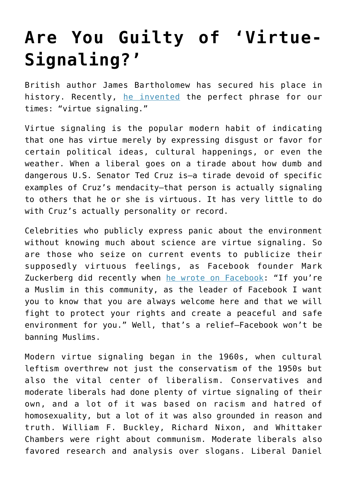## **[Are You Guilty of 'Virtue-](https://intellectualtakeout.org/2017/11/are-you-guilty-of-virtue-signaling/)[Signaling?'](https://intellectualtakeout.org/2017/11/are-you-guilty-of-virtue-signaling/)**

British author James Bartholomew has secured his place in history. Recently, [he invented](http://www.spectator.co.uk/2015/04/hating-the-daily-mail-is-a-substitute-for-doing-good/) the perfect phrase for our times: "virtue signaling."

Virtue signaling is the popular modern habit of indicating that one has virtue merely by expressing disgust or favor for certain political ideas, cultural happenings, or even the weather. When a liberal goes on a tirade about how dumb and dangerous U.S. Senator Ted Cruz is—a tirade devoid of specific examples of Cruz's mendacity—that person is actually signaling to others that he or she is virtuous. It has very little to do with Cruz's actually personality or record.

Celebrities who publicly express panic about the environment without knowing much about science are virtue signaling. So are those who seize on current events to publicize their supposedly virtuous feelings, as Facebook founder Mark Zuckerberg did recently when [he wrote on Facebook](http://www.breitbart.com/tech/2015/12/10/virtue-signalling-mark-zuckerberg-declares-muslims-welcome-on-facebook/): "If you're a Muslim in this community, as the leader of Facebook I want you to know that you are always welcome here and that we will fight to protect your rights and create a peaceful and safe environment for you." Well, that's a relief—Facebook won't be banning Muslims.

Modern virtue signaling began in the 1960s, when cultural leftism overthrew not just the conservatism of the 1950s but also the vital center of liberalism. Conservatives and moderate liberals had done plenty of virtue signaling of their own, and a lot of it was based on racism and hatred of homosexuality, but a lot of it was also grounded in reason and truth. William F. Buckley, Richard Nixon, and Whittaker Chambers were right about communism. Moderate liberals also favored research and analysis over slogans. Liberal Daniel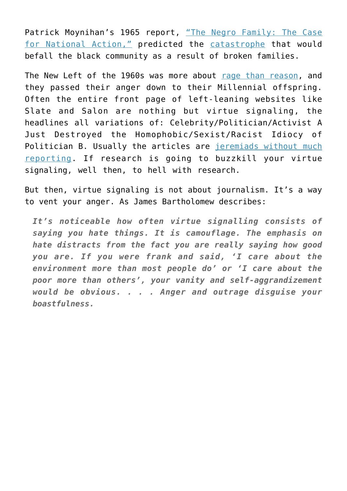Patrick Moynihan's 1965 report, ["The Negro Family: The Case](https://en.wikipedia.org/wiki/The_Negro_Family:_The_Case_For_National_Action) [for National Action,"](https://en.wikipedia.org/wiki/The_Negro_Family:_The_Case_For_National_Action) predicted the [catastrophe](http://www.city-journal.org/html/15_3_black_family.html) that would befall the black community as a result of broken families.

The New Left of the 1960s was more about [rage than reason,](http://www.amazon.com/Days-Rage-Underground-Forgotten-Revolutionary/dp/1594204292/) and they passed their anger down to their Millennial offspring. Often the entire front page of left-leaning websites like Slate and Salon are nothing but virtue signaling, the headlines all variations of: Celebrity/Politician/Activist A Just Destroyed the Homophobic/Sexist/Racist Idiocy of Politician B. Usually the articles are [jeremiads without much](http://www.salon.com/2015/12/29/message_for_donald_trump_being_good_to_your_daughter_doesnt_give_you_a_pass_for_treating_other_women_like_trash/) [reporting](http://www.salon.com/2015/12/29/message_for_donald_trump_being_good_to_your_daughter_doesnt_give_you_a_pass_for_treating_other_women_like_trash/). If research is going to buzzkill your virtue signaling, well then, to hell with research.

But then, virtue signaling is not about journalism. It's a way to vent your anger. As James Bartholomew describes:

*It's noticeable how often virtue signalling consists of saying you hate things. It is camouflage. The emphasis on hate distracts from the fact you are really saying how good you are. If you were frank and said, 'I care about the environment more than most people do' or 'I care about the poor more than others', your vanity and self-aggrandizement would be obvious. . . . Anger and outrage disguise your boastfulness.*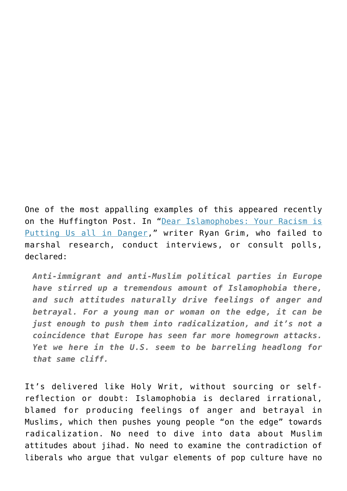One of the most appalling examples of this appeared recently on the Huffington Post. In ["Dear Islamophobes: Your Racism is](http://www.huffingtonpost.com/entry/us-fighting-islamophobia_566507b1e4b079b2818f0b25) [Putting Us all in Danger,](http://www.huffingtonpost.com/entry/us-fighting-islamophobia_566507b1e4b079b2818f0b25)" writer Ryan Grim, who failed to marshal research, conduct interviews, or consult polls, declared:

*Anti-immigrant and anti-Muslim political parties in Europe have stirred up a tremendous amount of Islamophobia there, and such attitudes naturally drive feelings of anger and betrayal. For a young man or woman on the edge, it can be just enough to push them into radicalization, and it's not a coincidence that Europe has seen far more homegrown attacks. Yet we here in the U.S. seem to be barreling headlong for that same cliff.*

It's delivered like Holy Writ, without sourcing or selfreflection or doubt: Islamophobia is declared irrational, blamed for producing feelings of anger and betrayal in Muslims, which then pushes young people "on the edge" towards radicalization. No need to dive into data about Muslim attitudes about jihad. No need to examine the contradiction of liberals who argue that vulgar elements of pop culture have no